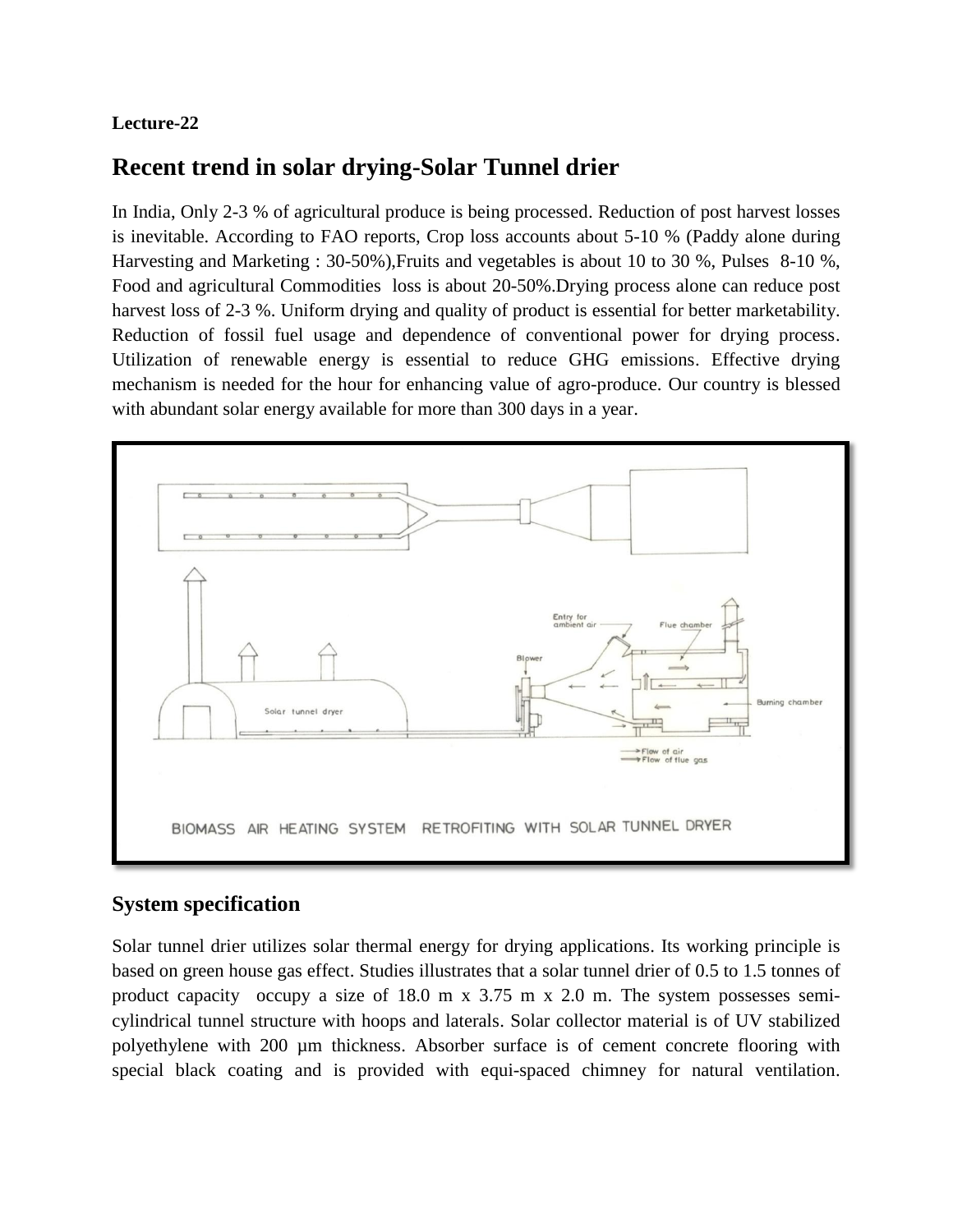## **Lecture-22**

## **Recent trend in solar drying-Solar Tunnel drier**

In India, Only 2-3 % of agricultural produce is being processed. Reduction of post harvest losses is inevitable. According to FAO reports, Crop loss accounts about 5-10 % (Paddy alone during Harvesting and Marketing : 30-50%),Fruits and vegetables is about 10 to 30 %, Pulses 8-10 %, Food and agricultural Commodities loss is about 20-50%.Drying process alone can reduce post harvest loss of 2-3 %. Uniform drying and quality of product is essential for better marketability. Reduction of fossil fuel usage and dependence of conventional power for drying process. Utilization of renewable energy is essential to reduce GHG emissions. Effective drying mechanism is needed for the hour for enhancing value of agro-produce. Our country is blessed with abundant solar energy available for more than 300 days in a year.



## **System specification**

Solar tunnel drier utilizes solar thermal energy for drying applications. Its working principle is based on green house gas effect. Studies illustrates that a solar tunnel drier of 0.5 to 1.5 tonnes of product capacity occupy a size of 18.0 m x 3.75 m x 2.0 m. The system possesses semicylindrical tunnel structure with hoops and laterals. Solar collector material is of UV stabilized polyethylene with 200 µm thickness. Absorber surface is of cement concrete flooring with special black coating and is provided with equi-spaced chimney for natural ventilation.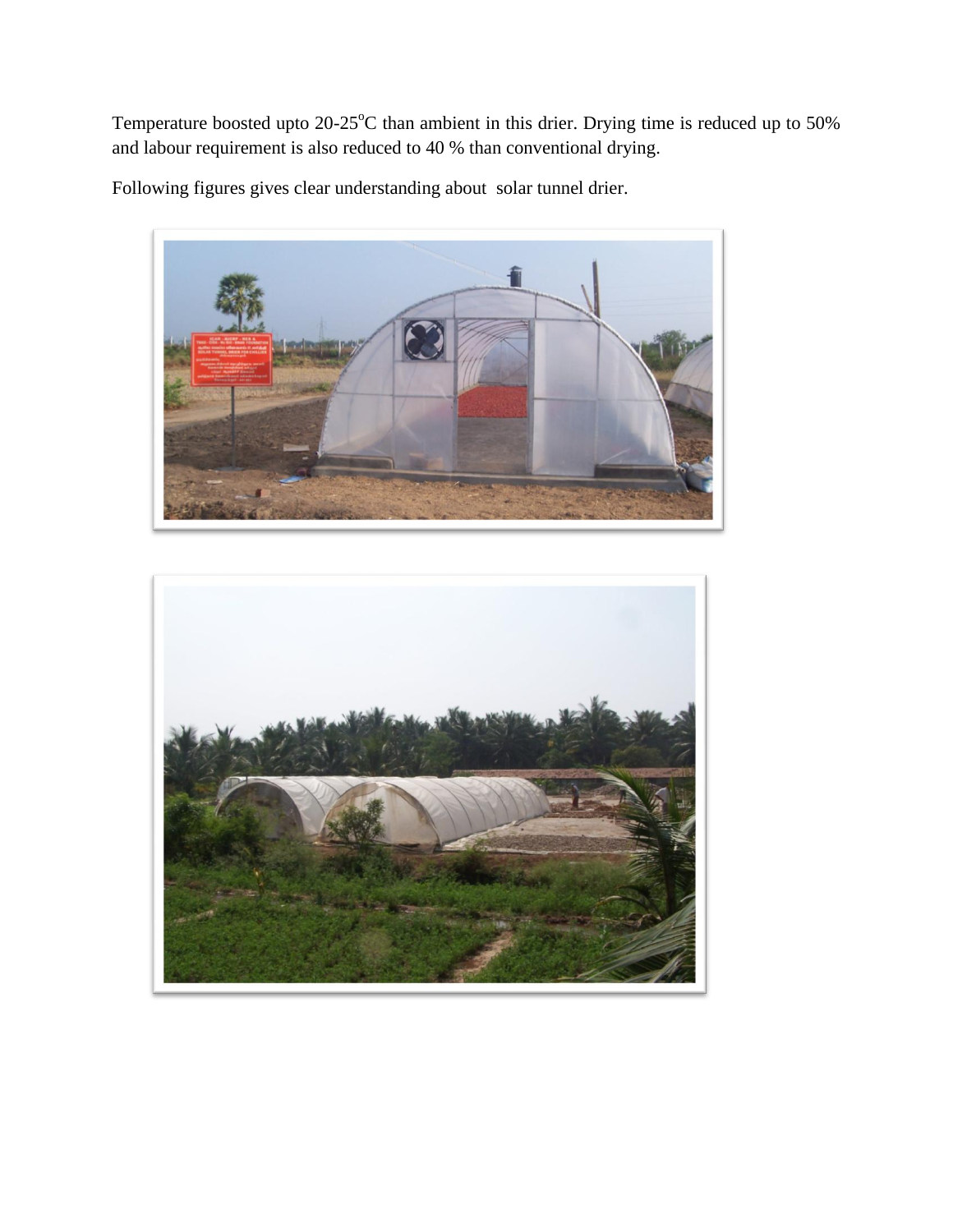Temperature boosted upto  $20-25^{\circ}\text{C}$  than ambient in this drier. Drying time is reduced up to 50% and labour requirement is also reduced to 40 % than conventional drying.

Following figures gives clear understanding about solar tunnel drier.